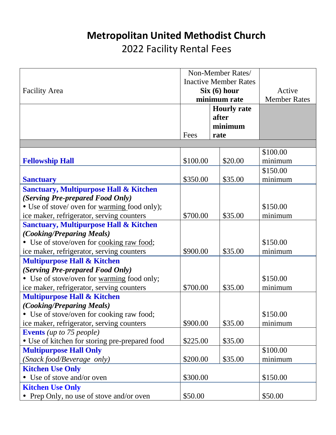## **Metropolitan United Methodist Church** 2022 Facility Rental Fees

|                                                   | Non-Member Rates/<br><b>Inactive Member Rates</b><br>Six (6) hour<br>minimum rate |                    |                     |
|---------------------------------------------------|-----------------------------------------------------------------------------------|--------------------|---------------------|
|                                                   |                                                                                   |                    |                     |
| <b>Facility Area</b>                              |                                                                                   |                    | Active              |
|                                                   |                                                                                   |                    | <b>Member Rates</b> |
|                                                   |                                                                                   | <b>Hourly rate</b> |                     |
|                                                   |                                                                                   | after              |                     |
|                                                   |                                                                                   | minimum            |                     |
|                                                   | Fees                                                                              | rate               |                     |
|                                                   |                                                                                   |                    |                     |
|                                                   |                                                                                   |                    | \$100.00            |
| <b>Fellowship Hall</b>                            | \$100.00                                                                          | \$20.00            | minimum             |
|                                                   |                                                                                   |                    | \$150.00            |
| <b>Sanctuary</b>                                  | \$350.00                                                                          | \$35.00            | minimum             |
| <b>Sanctuary, Multipurpose Hall &amp; Kitchen</b> |                                                                                   |                    |                     |
| (Serving Pre-prepared Food Only)                  |                                                                                   |                    |                     |
| • Use of stove/ oven for warming food only);      |                                                                                   |                    | \$150.00            |
| ice maker, refrigerator, serving counters         | \$700.00                                                                          | \$35.00            | minimum             |
| <b>Sanctuary, Multipurpose Hall &amp; Kitchen</b> |                                                                                   |                    |                     |
| <i>(Cooking/Preparing Meals)</i>                  |                                                                                   |                    |                     |
| • Use of stove/oven for cooking raw food;         |                                                                                   |                    | \$150.00            |
| ice maker, refrigerator, serving counters         | \$900.00                                                                          | \$35.00            | minimum             |
| <b>Multipurpose Hall &amp; Kitchen</b>            |                                                                                   |                    |                     |
| (Serving Pre-prepared Food Only)                  |                                                                                   |                    |                     |
| • Use of stove/oven for warming food only;        |                                                                                   |                    | \$150.00            |
| ice maker, refrigerator, serving counters         | \$700.00                                                                          | \$35.00            | minimum             |
| <b>Multipurpose Hall &amp; Kitchen</b>            |                                                                                   |                    |                     |
| <i>(Cooking/Preparing Meals)</i>                  |                                                                                   |                    |                     |
| • Use of stove/oven for cooking raw food;         |                                                                                   |                    | \$150.00            |
| ice maker, refrigerator, serving counters         | \$900.00                                                                          | \$35.00            | minimum             |
| <b>Events</b> (up to 75 people)                   |                                                                                   |                    |                     |
| • Use of kitchen for storing pre-prepared food    | \$225.00                                                                          | \$35.00            |                     |
| <b>Multipurpose Hall Only</b>                     |                                                                                   |                    | \$100.00            |
| (Snack food/Beverage only)                        | \$200.00                                                                          | \$35.00            | minimum             |
| <b>Kitchen Use Only</b>                           |                                                                                   |                    |                     |
| • Use of stove and/or oven                        | \$300.00                                                                          |                    | \$150.00            |
| <b>Kitchen Use Only</b>                           |                                                                                   |                    |                     |
| • Prep Only, no use of stove and/or oven          | \$50.00                                                                           |                    | \$50.00             |